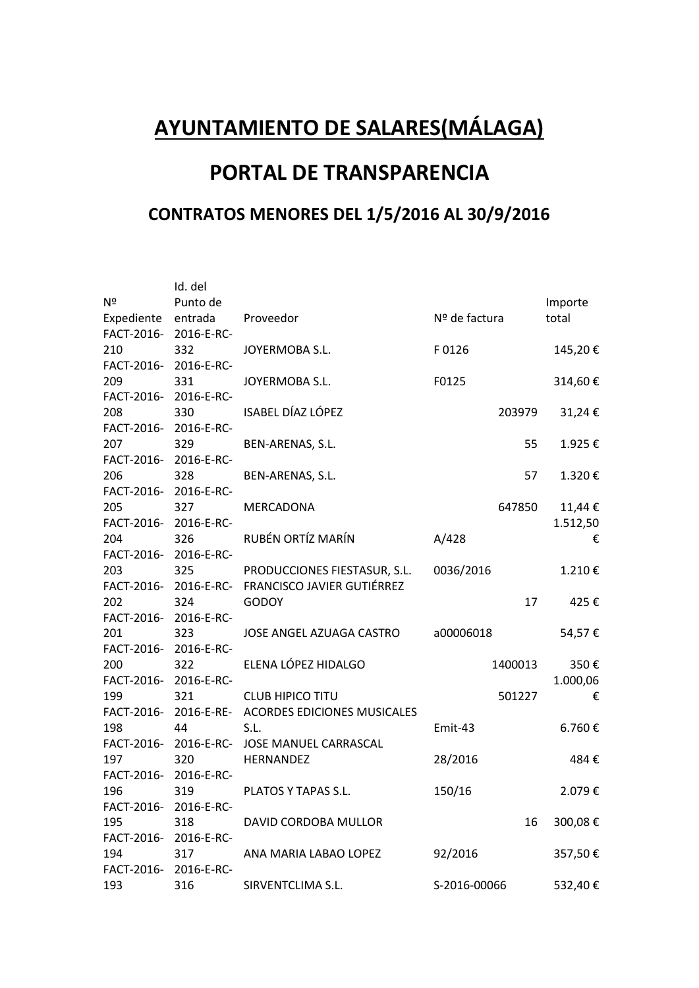## **AYUNTAMIENTO DE SALARES(MÁLAGA)**

## **PORTAL DE TRANSPARENCIA**

## **CONTRATOS MENORES DEL 1/5/2016 AL 30/9/2016**

|                       | Id. del    |                                                  |               |          |
|-----------------------|------------|--------------------------------------------------|---------------|----------|
| Nº                    | Punto de   |                                                  |               | Importe  |
| Expediente            | entrada    | Proveedor                                        | Nº de factura | total    |
| FACT-2016- 2016-E-RC- |            |                                                  |               |          |
| 210                   | 332        | JOYERMOBA S.L.                                   | F0126         | 145,20€  |
| FACT-2016- 2016-E-RC- |            |                                                  |               |          |
| 209                   | 331        | JOYERMOBA S.L.                                   | F0125         | 314,60€  |
| FACT-2016- 2016-E-RC- |            |                                                  |               |          |
| 208                   | 330        | ISABEL DÍAZ LÓPEZ                                | 203979        | 31,24€   |
| FACT-2016- 2016-E-RC- |            |                                                  |               |          |
| 207                   | 329        | BEN-ARENAS, S.L.                                 | 55            | 1.925€   |
| FACT-2016- 2016-E-RC- |            |                                                  |               |          |
| 206                   | 328        | BEN-ARENAS, S.L.                                 | 57            | 1.320€   |
| FACT-2016- 2016-E-RC- |            |                                                  |               |          |
| 205                   | 327        | MERCADONA                                        | 647850        | 11,44€   |
| FACT-2016- 2016-E-RC- |            |                                                  |               | 1.512,50 |
| 204                   | 326        | RUBÉN ORTÍZ MARÍN                                | A/428         | €        |
| FACT-2016- 2016-E-RC- |            |                                                  |               |          |
| 203                   | 325        | PRODUCCIONES FIESTASUR, S.L.                     | 0036/2016     | 1.210€   |
|                       |            | FACT-2016- 2016-E-RC- FRANCISCO JAVIER GUTIÉRREZ |               |          |
| 202                   | 324        | <b>GODOY</b>                                     | 17            | 425€     |
| FACT-2016- 2016-E-RC- |            |                                                  |               |          |
| 201                   | 323        | JOSE ANGEL AZUAGA CASTRO                         | a00006018     | 54,57€   |
| FACT-2016- 2016-E-RC- |            |                                                  |               |          |
| 200                   | 322        | ELENA LÓPEZ HIDALGO                              | 1400013       | 350€     |
| FACT-2016- 2016-E-RC- |            |                                                  |               | 1.000,06 |
| 199                   | 321        | <b>CLUB HIPICO TITU</b>                          | 501227        | €        |
|                       |            | FACT-2016-2016-E-RE-ACORDES EDICIONES MUSICALES  |               |          |
| 198                   | 44         | S.L.                                             | Emit-43       | 6.760€   |
|                       |            | FACT-2016- 2016-E-RC- JOSE MANUEL CARRASCAL      |               |          |
| 197                   | 320        | HERNANDEZ                                        | 28/2016       | 484€     |
| FACT-2016- 2016-E-RC- |            |                                                  |               |          |
| 196                   | 319        | PLATOS Y TAPAS S.L.                              | 150/16        | 2.079€   |
| FACT-2016- 2016-E-RC- |            |                                                  |               |          |
| 195                   | 318        | DAVID CORDOBA MULLOR                             | 16            | 300,08€  |
| FACT-2016-            | 2016-E-RC- |                                                  |               |          |
| 194                   | 317        | ANA MARIA LABAO LOPEZ                            | 92/2016       | 357,50€  |
| FACT-2016-            | 2016-E-RC- |                                                  |               |          |
| 193                   | 316        | SIRVENTCLIMA S.L.                                | S-2016-00066  | 532,40€  |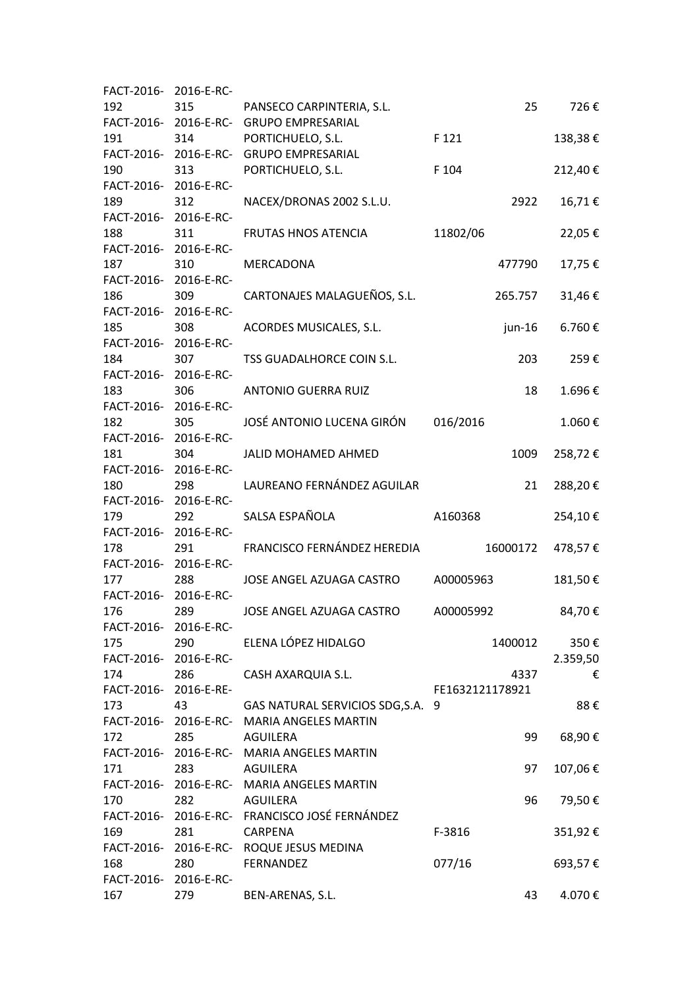| FACT-2016- 2016-E-RC- |                       |                                              |                 |          |
|-----------------------|-----------------------|----------------------------------------------|-----------------|----------|
| 192                   | 315                   | PANSECO CARPINTERIA, S.L.                    | 25              | 726€     |
|                       |                       | FACT-2016- 2016-E-RC- GRUPO EMPRESARIAL      |                 |          |
| 191                   | 314                   | PORTICHUELO, S.L.                            | F 121           | 138,38€  |
|                       | FACT-2016- 2016-E-RC- | <b>GRUPO EMPRESARIAL</b>                     |                 |          |
| 190                   | 313                   | PORTICHUELO, S.L.                            | F 104           | 212,40€  |
| FACT-2016- 2016-E-RC- |                       |                                              |                 |          |
| 189                   | 312                   | NACEX/DRONAS 2002 S.L.U.                     | 2922            | 16,71€   |
| FACT-2016- 2016-E-RC- |                       |                                              |                 |          |
| 188                   | 311                   | <b>FRUTAS HNOS ATENCIA</b>                   | 11802/06        | 22,05€   |
| FACT-2016- 2016-E-RC- |                       |                                              |                 |          |
| 187                   | 310                   | MERCADONA                                    | 477790          | 17,75€   |
| FACT-2016- 2016-E-RC- |                       |                                              |                 |          |
| 186                   | 309                   | CARTONAJES MALAGUEÑOS, S.L.                  | 265.757         | 31,46€   |
| FACT-2016- 2016-E-RC- |                       |                                              |                 |          |
| 185                   | 308                   | ACORDES MUSICALES, S.L.                      | $jun-16$        | 6.760€   |
| FACT-2016- 2016-E-RC- |                       |                                              |                 |          |
| 184                   | 307                   | TSS GUADALHORCE COIN S.L.                    | 203             | 259€     |
| FACT-2016- 2016-E-RC- |                       |                                              |                 |          |
| 183                   | 306                   | <b>ANTONIO GUERRA RUIZ</b>                   | 18              | 1.696€   |
| FACT-2016- 2016-E-RC- |                       |                                              |                 |          |
| 182                   | 305                   | JOSÉ ANTONIO LUCENA GIRÓN                    | 016/2016        | 1.060€   |
| FACT-2016- 2016-E-RC- |                       |                                              |                 |          |
| 181                   | 304                   | <b>JALID MOHAMED AHMED</b>                   | 1009            | 258,72€  |
| FACT-2016- 2016-E-RC- |                       |                                              |                 |          |
| 180                   | 298                   | LAUREANO FERNÁNDEZ AGUILAR                   | 21              | 288,20€  |
| FACT-2016- 2016-E-RC- |                       |                                              |                 |          |
| 179                   | 292                   | SALSA ESPAÑOLA                               | A160368         | 254,10€  |
| FACT-2016- 2016-E-RC- |                       |                                              |                 |          |
| 178                   | 291                   | FRANCISCO FERNÁNDEZ HEREDIA                  | 16000172        | 478,57€  |
| FACT-2016- 2016-E-RC- |                       |                                              |                 |          |
| 177                   | 288                   | JOSE ANGEL AZUAGA CASTRO                     | A00005963       | 181,50€  |
| FACT-2016- 2016-E-RC- |                       |                                              |                 |          |
| 176                   | 289                   | JOSE ANGEL AZUAGA CASTRO                     | A00005992       | 84,70€   |
| FACT-2016- 2016-E-RC- |                       |                                              |                 |          |
| 175                   | 290                   | ELENA LÓPEZ HIDALGO                          | 1400012         | 350€     |
| FACT-2016- 2016-E-RC- |                       |                                              |                 | 2.359,50 |
| 174                   | 286                   | CASH AXARQUIA S.L.                           | 4337            | €        |
| FACT-2016- 2016-E-RE- |                       |                                              | FE1632121178921 |          |
| 173                   | 43                    | GAS NATURAL SERVICIOS SDG, S.A. 9            |                 | 88€      |
|                       |                       | FACT-2016- 2016-E-RC- MARIA ANGELES MARTIN   |                 |          |
| 172                   | 285                   | AGUILERA                                     | 99              | 68,90€   |
|                       |                       | FACT-2016- 2016-E-RC- MARIA ANGELES MARTIN   |                 |          |
| 171                   | 283                   | AGUILERA                                     | 97              | 107,06€  |
|                       |                       | FACT-2016- 2016-E-RC- MARIA ANGELES MARTIN   |                 |          |
| 170                   | 282                   | AGUILERA                                     | 96              | 79,50€   |
|                       |                       | FACT-2016-2016-E-RC-FRANCISCO JOSÉ FERNÁNDEZ |                 |          |
| 169                   | 281                   | CARPENA                                      | F-3816          | 351,92€  |
|                       |                       | FACT-2016-2016-E-RC-ROQUE JESUS MEDINA       |                 |          |
| 168                   | 280                   | <b>FERNANDEZ</b>                             | 077/16          | 693,57€  |
| FACT-2016- 2016-E-RC- |                       |                                              |                 |          |
| 167                   | 279                   | BEN-ARENAS, S.L.                             | 43              | 4.070€   |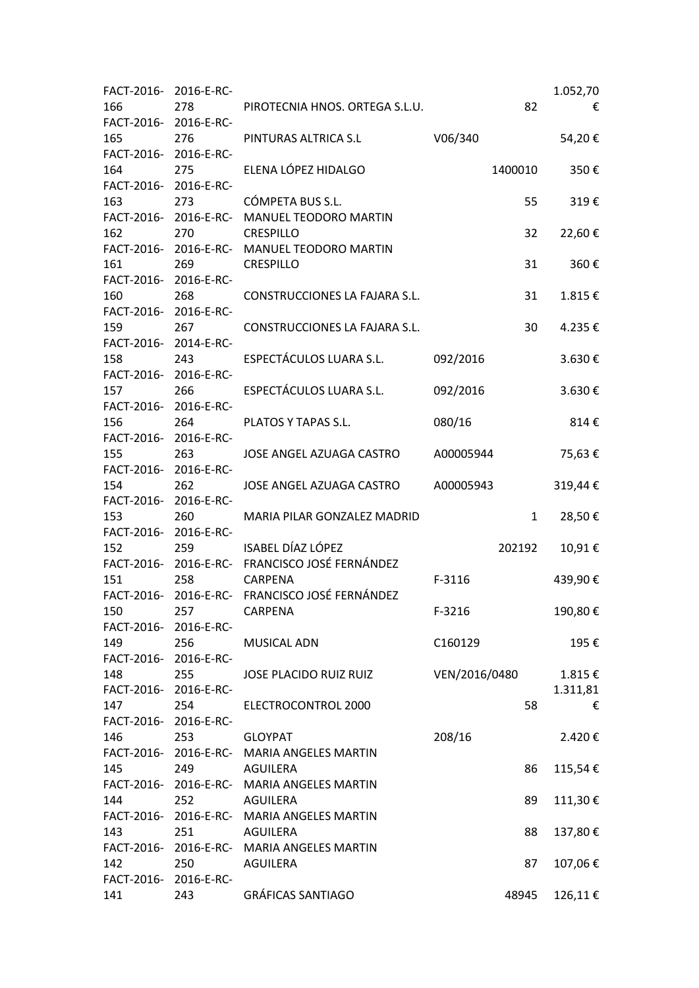| FACT-2016- 2016-E-RC- |                       |                                              |               | 1.052,70 |
|-----------------------|-----------------------|----------------------------------------------|---------------|----------|
| 166                   | 278                   | PIROTECNIA HNOS. ORTEGA S.L.U.               | 82            | €        |
| FACT-2016- 2016-E-RC- |                       |                                              |               |          |
| 165                   | 276                   | PINTURAS ALTRICA S.L                         | V06/340       | 54,20€   |
| FACT-2016- 2016-E-RC- |                       |                                              |               |          |
| 164                   | 275                   | ELENA LÓPEZ HIDALGO                          | 1400010       | 350€     |
| FACT-2016-            | 2016-E-RC-            |                                              |               |          |
| 163                   | 273                   | CÓMPETA BUS S.L.                             | 55            | 319€     |
|                       | FACT-2016- 2016-E-RC- | MANUEL TEODORO MARTIN                        |               |          |
| 162                   | 270                   | CRESPILLO                                    | 32            | 22,60€   |
| FACT-2016-            |                       | 2016-E-RC- MANUEL TEODORO MARTIN             |               |          |
| 161                   | 269                   | <b>CRESPILLO</b>                             | 31            | 360€     |
| FACT-2016- 2016-E-RC- |                       |                                              |               |          |
| 160                   | 268                   | CONSTRUCCIONES LA FAJARA S.L.                | 31            | 1.815€   |
| FACT-2016-            | 2016-E-RC-            |                                              |               |          |
| 159                   | 267                   | CONSTRUCCIONES LA FAJARA S.L.                | 30            | 4.235€   |
| FACT-2016- 2014-E-RC- |                       |                                              |               |          |
| 158                   | 243                   | ESPECTÁCULOS LUARA S.L.                      | 092/2016      | 3.630€   |
| FACT-2016-            | 2016-E-RC-            |                                              |               |          |
| 157                   | 266                   | ESPECTÁCULOS LUARA S.L.                      | 092/2016      | 3.630€   |
| FACT-2016- 2016-E-RC- |                       |                                              |               |          |
| 156                   | 264                   | PLATOS Y TAPAS S.L.                          | 080/16        | 814€     |
| FACT-2016-            | 2016-E-RC-            |                                              |               |          |
| 155                   | 263                   | JOSE ANGEL AZUAGA CASTRO                     | A00005944     | 75,63€   |
| FACT-2016- 2016-E-RC- |                       |                                              |               |          |
| 154                   | 262                   | JOSE ANGEL AZUAGA CASTRO                     | A00005943     | 319,44€  |
| FACT-2016-            | 2016-E-RC-            |                                              |               |          |
| 153                   | 260                   | MARIA PILAR GONZALEZ MADRID                  | 1             | 28,50€   |
| FACT-2016- 2016-E-RC- |                       |                                              |               |          |
| 152                   | 259                   | ISABEL DÍAZ LÓPEZ                            | 202192        | 10,91€   |
| FACT-2016-            |                       | 2016-E-RC- FRANCISCO JOSÉ FERNÁNDEZ          |               |          |
| 151                   | 258                   | <b>CARPENA</b>                               | F-3116        | 439,90€  |
|                       |                       | FACT-2016-2016-E-RC-FRANCISCO JOSÉ FERNÁNDEZ |               |          |
| 150                   |                       | 257 CARPENA                                  | F-3216        | 190,80€  |
| FACT-2016- 2016-E-RC- |                       |                                              |               |          |
| 149                   | 256                   | <b>MUSICAL ADN</b>                           | C160129       | 195€     |
| FACT-2016- 2016-E-RC- |                       |                                              |               |          |
| 148                   | 255                   | JOSE PLACIDO RUIZ RUIZ                       | VEN/2016/0480 | 1.815€   |
| FACT-2016- 2016-E-RC- |                       |                                              |               | 1.311,81 |
| 147                   | 254                   | ELECTROCONTROL 2000                          | 58            | €        |
|                       | FACT-2016-2016-E-RC-  |                                              |               |          |
| 146                   | 253                   | <b>GLOYPAT</b>                               | 208/16        | 2.420€   |
|                       |                       | FACT-2016- 2016-E-RC- MARIA ANGELES MARTIN   |               |          |
| 145                   | 249                   | AGUILERA                                     | 86            | 115,54€  |
|                       |                       | FACT-2016- 2016-E-RC- MARIA ANGELES MARTIN   |               |          |
| 144                   | 252                   | AGUILERA                                     | 89            | 111,30€  |
|                       |                       | FACT-2016- 2016-E-RC- MARIA ANGELES MARTIN   |               |          |
| 143                   | 251                   | AGUILERA                                     | 88            | 137,80€  |
|                       |                       | FACT-2016- 2016-E-RC- MARIA ANGELES MARTIN   |               |          |
| 142                   | 250                   | AGUILERA                                     | 87            | 107,06€  |
| FACT-2016- 2016-E-RC- |                       |                                              |               |          |
| 141                   | 243                   | <b>GRÁFICAS SANTIAGO</b>                     | 48945         | 126,11€  |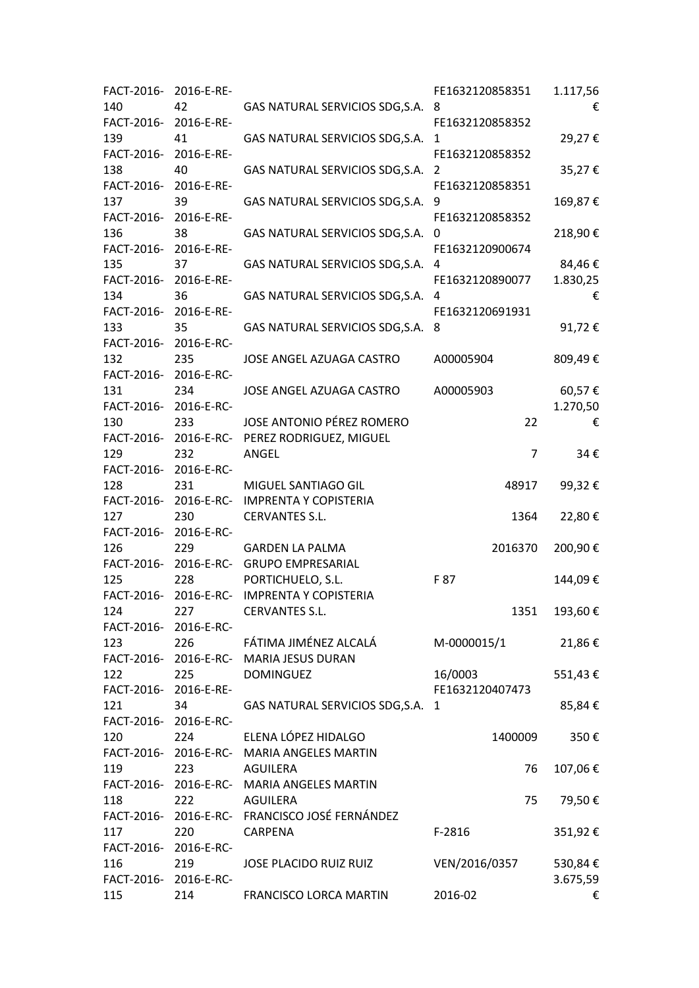| FACT-2016-            | 2016-E-RE-            |                                                | FE1632120858351 | 1.117,56 |
|-----------------------|-----------------------|------------------------------------------------|-----------------|----------|
| 140                   | 42                    | GAS NATURAL SERVICIOS SDG, S.A.                | 8               | €        |
| FACT-2016-            | 2016-E-RE-            |                                                | FE1632120858352 |          |
| 139                   | 41                    | GAS NATURAL SERVICIOS SDG, S.A.                | 1               | 29,27€   |
| FACT-2016-            | 2016-E-RE-            |                                                | FE1632120858352 |          |
| 138                   | 40                    | GAS NATURAL SERVICIOS SDG, S.A.                | $\overline{2}$  | 35,27€   |
| FACT-2016-            | 2016-E-RE-            |                                                | FE1632120858351 |          |
| 137                   | 39                    | GAS NATURAL SERVICIOS SDG, S.A.                | 9               | 169,87€  |
| FACT-2016-            | 2016-E-RE-            |                                                | FE1632120858352 |          |
| 136                   | 38                    | GAS NATURAL SERVICIOS SDG, S.A.                | 0               | 218,90€  |
| FACT-2016-            | 2016-E-RE-            |                                                | FE1632120900674 |          |
| 135                   | 37                    | GAS NATURAL SERVICIOS SDG, S.A.                | 4               | 84,46€   |
| FACT-2016- 2016-E-RE- |                       |                                                | FE1632120890077 | 1.830,25 |
| 134                   | 36                    | GAS NATURAL SERVICIOS SDG, S.A.                | 4               | €        |
| FACT-2016-            | 2016-E-RE-            |                                                | FE1632120691931 |          |
| 133                   |                       | GAS NATURAL SERVICIOS SDG, S.A.                |                 |          |
|                       | 35                    |                                                | 8               | 91,72€   |
| FACT-2016-            | 2016-E-RC-            |                                                |                 |          |
| 132                   | 235                   | JOSE ANGEL AZUAGA CASTRO                       | A00005904       | 809,49€  |
| FACT-2016-            | 2016-E-RC-            |                                                |                 |          |
| 131                   | 234                   | JOSE ANGEL AZUAGA CASTRO                       | A00005903       | 60,57€   |
| FACT-2016- 2016-E-RC- |                       |                                                |                 | 1.270,50 |
| 130                   | 233                   | JOSE ANTONIO PÉREZ ROMERO                      | 22              | €        |
| FACT-2016-            |                       | 2016-E-RC- PEREZ RODRIGUEZ, MIGUEL             |                 |          |
| 129                   | 232                   | ANGEL                                          | $\overline{7}$  | 34€      |
| FACT-2016-            | 2016-E-RC-            |                                                |                 |          |
| 128                   | 231                   | MIGUEL SANTIAGO GIL                            | 48917           | 99,32€   |
| FACT-2016-            | 2016-E-RC-            | <b>IMPRENTA Y COPISTERIA</b>                   |                 |          |
| 127                   | 230                   | <b>CERVANTES S.L.</b>                          | 1364            | 22,80€   |
| FACT-2016-            | 2016-E-RC-            |                                                |                 |          |
| 126                   | 229                   | <b>GARDEN LA PALMA</b>                         | 2016370         | 200,90€  |
| FACT-2016-            |                       | 2016-E-RC- GRUPO EMPRESARIAL                   |                 |          |
| 125                   | 228                   | PORTICHUELO, S.L.                              | F 87            | 144,09€  |
| FACT-2016-            |                       | 2016-E-RC- IMPRENTA Y COPISTERIA               |                 |          |
| 124                   | 227                   | <b>CERVANTES S.L.</b>                          | 1351            | 193,60€  |
|                       | FACT-2016-2016-E-RC-  |                                                |                 |          |
| 123                   | 226                   | FÁTIMA JIMÉNEZ ALCALÁ                          | M-0000015/1     | 21,86€   |
|                       |                       | FACT-2016- 2016-E-RC- MARIA JESUS DURAN        |                 |          |
| 122                   | 225                   | <b>DOMINGUEZ</b>                               | 16/0003         | 551,43€  |
| FACT-2016- 2016-E-RE- |                       |                                                | FE1632120407473 |          |
| 121                   | 34                    | GAS NATURAL SERVICIOS SDG, S.A. 1              |                 | 85,84€   |
| FACT-2016-2016-E-RC-  |                       |                                                |                 |          |
| 120                   |                       | 224 ELENA LÓPEZ HIDALGO                        | 1400009         | 350€     |
|                       |                       |                                                |                 |          |
|                       |                       | FACT-2016- 2016-E-RC- MARIA ANGELES MARTIN     |                 |          |
| 119                   | 223                   | AGUILERA                                       | 76              | 107,06€  |
|                       |                       | FACT-2016- 2016-E-RC- MARIA ANGELES MARTIN     |                 |          |
| 118                   | 222                   | AGUILERA                                       | 75              | 79,50€   |
|                       |                       | FACT-2016- 2016-E-RC- FRANCISCO JOSÉ FERNÁNDEZ |                 |          |
| 117                   | 220                   | CARPENA                                        | $F-2816$        | 351,92€  |
|                       | FACT-2016- 2016-E-RC- |                                                |                 |          |
| 116                   | 219                   | JOSE PLACIDO RUIZ RUIZ                         | VEN/2016/0357   | 530,84€  |
| FACT-2016- 2016-E-RC- |                       |                                                |                 | 3.675,59 |
| 115                   | 214                   | FRANCISCO LORCA MARTIN                         | 2016-02         | €        |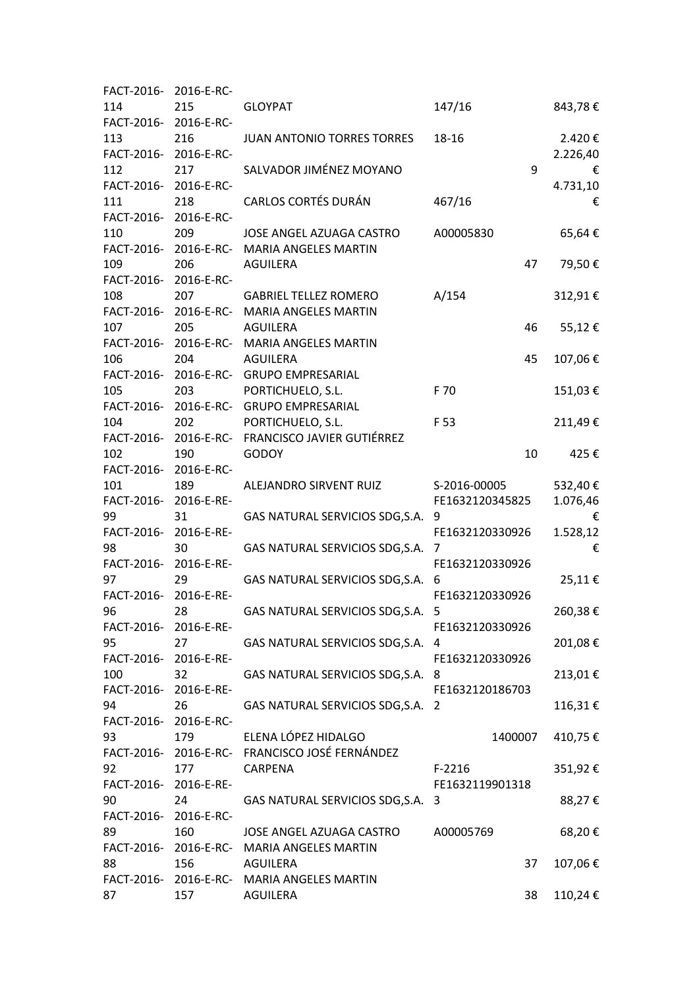| FACT-2016-            | 2016-E-RC-            |                                                  |                 |          |
|-----------------------|-----------------------|--------------------------------------------------|-----------------|----------|
| 114                   | 215                   | <b>GLOYPAT</b>                                   | 147/16          | 843,78€  |
| FACT-2016- 2016-E-RC- |                       |                                                  |                 |          |
| 113                   | 216                   | JUAN ANTONIO TORRES TORRES                       | 18-16           | 2.420€   |
| FACT-2016- 2016-E-RC- |                       |                                                  |                 | 2.226,40 |
| 112                   | 217                   | SALVADOR JIMÉNEZ MOYANO                          | 9               | €        |
| FACT-2016- 2016-E-RC- |                       |                                                  |                 | 4.731,10 |
| 111                   | 218                   | <b>CARLOS CORTÉS DURÁN</b>                       | 467/16          | €        |
| FACT-2016- 2016-E-RC- |                       |                                                  |                 |          |
| 110                   | 209                   | JOSE ANGEL AZUAGA CASTRO                         | A00005830       | 65,64€   |
|                       |                       | FACT-2016- 2016-E-RC- MARIA ANGELES MARTIN       |                 |          |
| 109                   | 206                   | <b>AGUILERA</b>                                  | 47              | 79,50€   |
| FACT-2016- 2016-E-RC- |                       |                                                  |                 |          |
| 108                   | 207                   | <b>GABRIEL TELLEZ ROMERO</b>                     | A/154           | 312,91€  |
|                       |                       | FACT-2016- 2016-E-RC- MARIA ANGELES MARTIN       |                 |          |
| 107                   | 205                   | <b>AGUILERA</b>                                  | 46              | 55,12€   |
|                       |                       | FACT-2016- 2016-E-RC- MARIA ANGELES MARTIN       |                 |          |
| 106                   | 204                   | <b>AGUILERA</b>                                  | 45              | 107,06€  |
|                       |                       | FACT-2016- 2016-E-RC- GRUPO EMPRESARIAL          |                 |          |
| 105                   | 203                   | PORTICHUELO, S.L.                                | F 70            | 151,03€  |
|                       |                       | FACT-2016- 2016-E-RC- GRUPO EMPRESARIAL          |                 |          |
| 104                   | 202                   | PORTICHUELO, S.L.                                | F 53            | 211,49€  |
|                       |                       | FACT-2016- 2016-E-RC- FRANCISCO JAVIER GUTIÉRREZ |                 |          |
| 102                   | 190                   | <b>GODOY</b>                                     | 10              | 425€     |
| FACT-2016- 2016-E-RC- |                       |                                                  |                 |          |
| 101                   | 189                   | ALEJANDRO SIRVENT RUIZ                           | S-2016-00005    | 532,40€  |
| FACT-2016- 2016-E-RE- |                       |                                                  | FE1632120345825 | 1.076,46 |
| 99                    | 31                    | GAS NATURAL SERVICIOS SDG, S.A.                  | 9               | €        |
| FACT-2016-            | 2016-E-RE-            |                                                  | FE1632120330926 | 1.528,12 |
| 98                    | 30                    | GAS NATURAL SERVICIOS SDG, S.A.                  | 7               | €        |
| FACT-2016- 2016-E-RE- |                       |                                                  | FE1632120330926 |          |
| 97                    | 29                    | GAS NATURAL SERVICIOS SDG, S.A.                  | 6               | 25,11€   |
| FACT-2016- 2016-E-RE- |                       |                                                  | FE1632120330926 |          |
| 96                    | 28                    | GAS NATURAL SERVICIOS SDG, S.A.                  | 5               | 260,38€  |
| FACT-2016- 2016-E-RE- |                       |                                                  | FE1632120330926 |          |
| 95                    | 27                    | GAS NATURAL SERVICIOS SDG, S.A. 4                |                 | 201,08€  |
| FACT-2016- 2016-E-RE- |                       |                                                  | FE1632120330926 |          |
| 100                   | 32                    | GAS NATURAL SERVICIOS SDG, S.A. 8                |                 | 213,01€  |
| FACT-2016- 2016-E-RE- |                       |                                                  | FE1632120186703 |          |
| 94                    | 26                    | GAS NATURAL SERVICIOS SDG, S.A. 2                |                 | 116,31€  |
| FACT-2016- 2016-E-RC- |                       |                                                  |                 |          |
| 93                    | 179                   | ELENA LÓPEZ HIDALGO                              | 1400007         | 410,75€  |
|                       |                       | FACT-2016-2016-E-RC-FRANCISCO JOSÉ FERNÁNDEZ     |                 |          |
| 92                    | 177                   | CARPENA                                          | $F-2216$        | 351,92€  |
| FACT-2016- 2016-E-RE- |                       |                                                  | FE1632119901318 |          |
| 90                    | 24                    | GAS NATURAL SERVICIOS SDG, S.A. 3                |                 | 88,27€   |
|                       | FACT-2016- 2016-E-RC- |                                                  |                 |          |
| 89                    | 160                   | JOSE ANGEL AZUAGA CASTRO                         | A00005769       | 68,20€   |
|                       |                       | FACT-2016- 2016-E-RC- MARIA ANGELES MARTIN       |                 |          |
| 88                    | 156                   | AGUILERA                                         | 37              | 107,06€  |
|                       |                       | FACT-2016- 2016-E-RC- MARIA ANGELES MARTIN       |                 |          |
| 87                    | 157                   | AGUILERA                                         | 38              | 110,24€  |
|                       |                       |                                                  |                 |          |